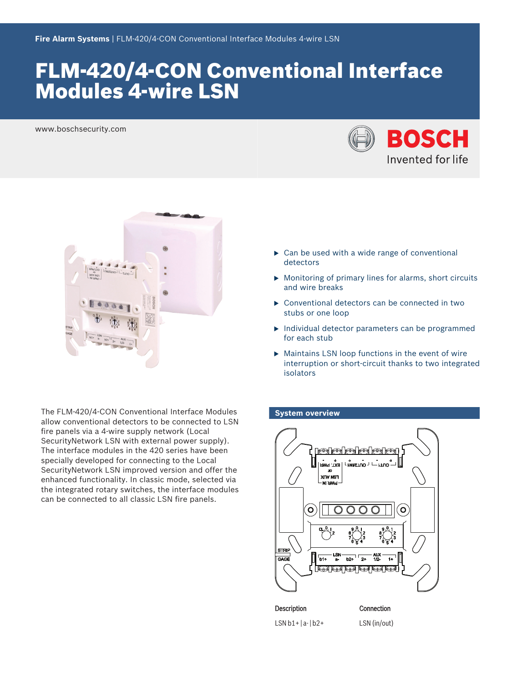# FLM‑420/4‑CON Conventional Interface Modules 4‑wire LSN

www.boschsecurity.com





The FLM‑420/4‑CON Conventional Interface Modules allow conventional detectors to be connected to LSN fire panels via a 4‑wire supply network (Local SecurityNetwork LSN with external power supply). The interface modules in the 420 series have been specially developed for connecting to the Local SecurityNetwork LSN improved version and offer the enhanced functionality. In classic mode, selected via the integrated rotary switches, the interface modules can be connected to all classic LSN fire panels.

- $\triangleright$  Can be used with a wide range of conventional detectors
- $\triangleright$  Monitoring of primary lines for alarms, short circuits and wire breaks
- $\triangleright$  Conventional detectors can be connected in two stubs or one loop
- $\blacktriangleright$  Individual detector parameters can be programmed for each stub
- $\blacktriangleright$  Maintains LSN loop functions in the event of wire interruption or short-circuit thanks to two integrated isolators

# **System overview**



 $LSN b1+ |a-|b2+ LSN (in/out)$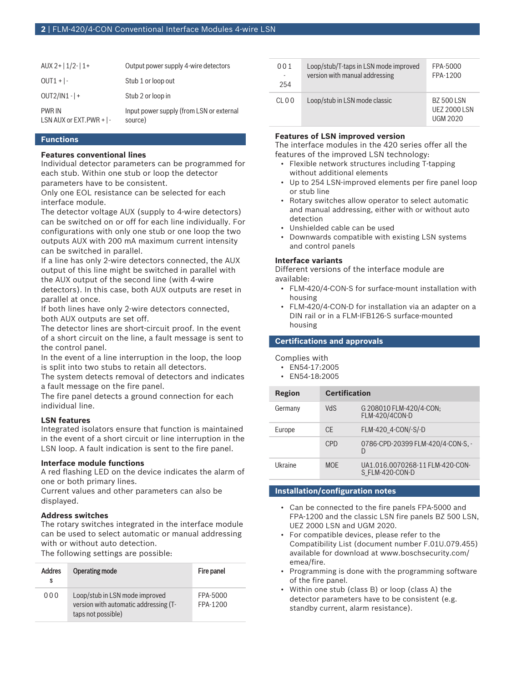| AUX 2+ $ 1/2-1+$                                   | Output power supply 4-wire detectors                |
|----------------------------------------------------|-----------------------------------------------------|
| $OUT1 +  -$                                        | Stub 1 or loop out                                  |
| $OUT2/IN1 -   +$                                   | Stub 2 or loop in                                   |
| <b>PWR IN</b><br>LSN AUX or EXT. PWR $+$ $\vert$ - | Input power supply (from LSN or external<br>source) |

#### **Functions**

## **Features conventional lines**

Individual detector parameters can be programmed for each stub. Within one stub or loop the detector parameters have to be consistent.

Only one EOL resistance can be selected for each interface module.

The detector voltage AUX (supply to 4‑wire detectors) can be switched on or off for each line individually. For configurations with only one stub or one loop the two outputs AUX with 200 mA maximum current intensity can be switched in parallel.

If a line has only 2‑wire detectors connected, the AUX output of this line might be switched in parallel with the AUX output of the second line (with 4‑wire detectors). In this case, both AUX outputs are reset in parallel at once.

If both lines have only 2‑wire detectors connected, both AUX outputs are set off.

The detector lines are short-circuit proof. In the event of a short circuit on the line, a fault message is sent to the control panel.

In the event of a line interruption in the loop, the loop is split into two stubs to retain all detectors.

The system detects removal of detectors and indicates a fault message on the fire panel.

The fire panel detects a ground connection for each individual line.

#### **LSN features**

Integrated isolators ensure that function is maintained in the event of a short circuit or line interruption in the LSN loop. A fault indication is sent to the fire panel.

#### **Interface module functions**

A red flashing LED on the device indicates the alarm of one or both primary lines.

Current values and other parameters can also be displayed.

#### **Address switches**

The rotary switches integrated in the interface module can be used to select automatic or manual addressing with or without auto detection.

The following settings are possible:

| <b>Addres</b><br>s | Operating mode                                                                                | Fire panel           |
|--------------------|-----------------------------------------------------------------------------------------------|----------------------|
| 000                | Loop/stub in LSN mode improved<br>version with automatic addressing (T-<br>taps not possible) | FPA-5000<br>FPA-1200 |

| 001   | Loop/stub/T-taps in LSN mode improved | FPA-5000                                      |
|-------|---------------------------------------|-----------------------------------------------|
| 254   | version with manual addressing        | FPA-1200                                      |
| CL 00 | Loop/stub in LSN mode classic         | BZ 500 LSN<br>UF7 2000 LSN<br><b>UGM 2020</b> |

#### **Features of LSN improved version**

The interface modules in the 420 series offer all the features of the improved LSN technology:

- Flexible network structures including T-tapping without additional elements
- Up to 254 LSN-improved elements per fire panel loop or stub line
- Rotary switches allow operator to select automatic and manual addressing, either with or without auto detection
- Unshielded cable can be used
- Downwards compatible with existing LSN systems and control panels

#### **Interface variants**

Different versions of the interface module are available:

- FLM‑420/4‑CON‑S for surface-mount installation with housing
- FLM‑420/4‑CON‑D for installation via an adapter on a DIN rail or in a FLM‑IFB126‑S surface-mounted housing

#### **Certifications and approvals**

#### Complies with

| EN54-17:2005 |
|--------------|
|              |

• EN54-18:2005

| <b>Region</b> | <b>Certification</b> |                                                    |
|---------------|----------------------|----------------------------------------------------|
| Germany       | <b>VdS</b>           | G 208010 FLM-420/4-CON;<br><b>FLM-420/4CON-D</b>   |
| Europe        | CF.                  | FLM-420 4-CON/-S/-D                                |
|               | CPD                  | 0786-CPD-20399 FLM-420/4-CON-S. -<br>D             |
| Ukraine       | <b>MOF</b>           | UA1.016.0070268-11 FLM-420-CON-<br>S FLM-420-CON-D |

#### **Installation/configuration notes**

- Can be connected to the fire panels FPA‑5000 and FPA‑1200 and the classic LSN fire panels BZ 500 LSN, UEZ 2000 LSN and UGM 2020.
- For compatible devices, please refer to the Compatibility List (document number F.01U.079.455) available for download at www.boschsecurity.com/ emea/fire.
- Programming is done with the programming software of the fire panel.
- Within one stub (class B) or loop (class A) the detector parameters have to be consistent (e.g. standby current, alarm resistance).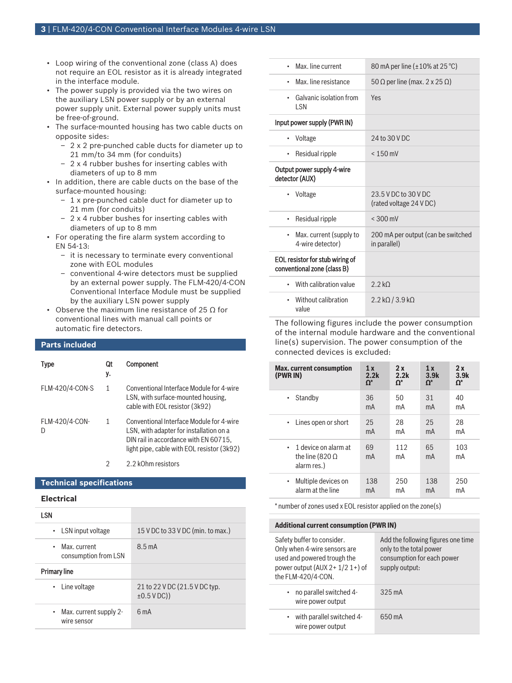- Loop wiring of the conventional zone (class A) does not require an EOL resistor as it is already integrated in the interface module.
- The power supply is provided via the two wires on the auxiliary LSN power supply or by an external power supply unit. External power supply units must be free-of-ground.
- The surface-mounted housing has two cable ducts on opposite sides:
	- 2 x 2 pre-punched cable ducts for diameter up to 21 mm/to 34 mm (for conduits)
	- 2 x 4 rubber bushes for inserting cables with diameters of up to 8 mm
- In addition, there are cable ducts on the base of the surface-mounted housing:
	- 1 x pre-punched cable duct for diameter up to 21 mm (for conduits)
	- 2 x 4 rubber bushes for inserting cables with diameters of up to 8 mm
- For operating the fire alarm system according to EN 54-13:
	- it is necessary to terminate every conventional zone with EOL modules
	- conventional 4-wire detectors must be supplied by an external power supply. The FLM‑420/4‑CON Conventional Interface Module must be supplied by the auxiliary LSN power supply
- Observe the maximum line resistance of 25  $\Omega$  for conventional lines with manual call points or automatic fire detectors.

#### **Parts included**

| <b>Type</b>     | Qt<br>y. | Component                                                                                                                                                                  |
|-----------------|----------|----------------------------------------------------------------------------------------------------------------------------------------------------------------------------|
| FLM-420/4-CON-S | 1        | Conventional Interface Module for 4-wire<br>LSN, with surface-mounted housing,<br>cable with EOL resistor (3k92)                                                           |
| FLM-420/4-CON-  |          | Conventional Interface Module for 4-wire<br>LSN, with adapter for installation on a<br>DIN rail in accordance with EN 60715.<br>light pipe, cable with EOL resistor (3k92) |

2 2.2 kOhm resistors

#### **Technical specifications**

#### **Electrical**

| LSN                                                |                                                   |
|----------------------------------------------------|---------------------------------------------------|
| $\cdot$ LSN input voltage                          | 15 V DC to 33 V DC (min. to max.)                 |
| Max. current<br>٠<br>consumption from LSN          | $8.5 \text{ mA}$                                  |
| <b>Primary line</b>                                |                                                   |
| • Line voltage                                     | 21 to 22 V DC (21.5 V DC typ.<br>$\pm 0.5$ V DC)) |
| Max. current supply 2-<br>$\bullet$<br>wire sensor | 6 <sub>m</sub> A                                  |

| Max. line current                                              | 80 mA per line (±10% at 25 °C)                     |
|----------------------------------------------------------------|----------------------------------------------------|
| Max. line resistance<br>٠                                      | 50 Ω per line (max. 2 x 25 Ω)                      |
| Galvanic isolation from<br>٠<br><b>ISN</b>                     | <b>Yes</b>                                         |
| Input power supply (PWR IN)                                    |                                                    |
| Voltage<br>٠                                                   | 24 to 30 V DC                                      |
| Residual ripple<br>٠                                           | $< 150$ mV                                         |
| Output power supply 4-wire<br>detector (AUX)                   |                                                    |
| Voltage                                                        | 23.5 V DC to 30 V DC<br>(rated voltage 24 V DC)    |
| Residual ripple<br>٠                                           | $< 300 \text{ mV}$                                 |
| Max. current (supply to<br>٠<br>4-wire detector)               | 200 mA per output (can be switched<br>in parallel) |
| EOL resistor for stub wiring of<br>conventional zone (class B) |                                                    |
| With calibration value<br>٠                                    | 2.2 kO                                             |
| Without calibration<br>٠<br>value                              | $2.2$ kQ / 3.9 kQ                                  |

The following figures include the power consumption of the internal module hardware and the conventional line(s) supervision. The power consumption of the connected devices is excluded:

| <b>Max.</b> current consumption<br>(PWR IN)                   | 1x<br>2.2k<br>$\Omega^*$ | 2x<br>2.2k<br>$\Omega^*$ | 1x<br>3.9k<br>$\Omega^*$ | 2x<br>3.9k<br>$\Omega^*$ |
|---------------------------------------------------------------|--------------------------|--------------------------|--------------------------|--------------------------|
| Standby                                                       | 36<br>mA                 | 50<br>mA                 | 31<br>mA                 | 40<br>mA                 |
| Lines open or short                                           | 25<br>mA                 | 28<br>mA                 | 25<br>mA                 | 28<br>mA                 |
| 1 device on alarm at<br>the line (820 $\Omega$<br>alarm res.) | 69<br>mA                 | 112<br>mA                | 65<br>mA                 | 103<br>mA                |
| Multiple devices on<br>٠<br>alarm at the line                 | 138<br>mA                | 250<br>mA                | 138<br>mA                | 250<br>mA                |

\* number of zones used x EOL resistor applied on the zone(s)

| <b>Additional current consumption (PWR IN)</b>                                                                                                      |                                                                                                               |  |
|-----------------------------------------------------------------------------------------------------------------------------------------------------|---------------------------------------------------------------------------------------------------------------|--|
| Safety buffer to consider.<br>Only when 4-wire sensors are<br>used and powered trough the<br>power output (AUX $2+1/2$ 1+) of<br>the FLM-420/4-CON. | Add the following figures one time<br>only to the total power<br>consumption for each power<br>supply output: |  |
| no parallel switched 4-<br>wire power output                                                                                                        | $325 \text{ mA}$                                                                                              |  |
| with parallel switched 4-<br>wire power output                                                                                                      | 650 mA                                                                                                        |  |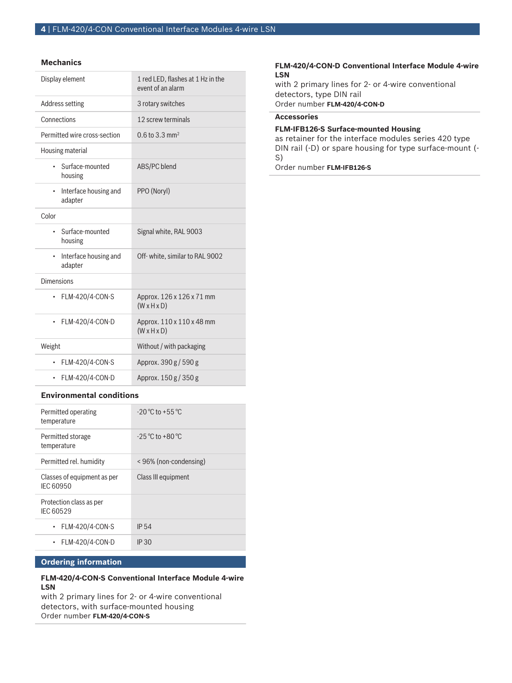#### **Mechanics**

| Display element                               | 1 red LED, flashes at 1 Hz in the<br>event of an alarm |
|-----------------------------------------------|--------------------------------------------------------|
| Address setting                               | 3 rotary switches                                      |
| Connections                                   | 12 screw terminals                                     |
| Permitted wire cross-section                  | $0.6$ to 3.3 mm <sup>2</sup>                           |
| Housing material                              |                                                        |
| Surface-mounted<br>housing                    | ABS/PC blend                                           |
| Interface housing and<br>$\bullet$<br>adapter | PPO (Noryl)                                            |
| Color                                         |                                                        |
| Surface-mounted<br>$\bullet$<br>housing       | Signal white, RAL 9003                                 |
| Interface housing and<br>$\bullet$<br>adapter | Off-white, similar to RAL 9002                         |
| <b>Dimensions</b>                             |                                                        |
| FLM-420/4-CON-S<br>٠                          | Approx. 126 x 126 x 71 mm<br>$(W \times H \times D)$   |
| FLM-420/4-CON-D<br>$\bullet$                  | Approx. 110 x 110 x 48 mm<br>$(W \times H \times D)$   |
| Weight                                        | Without / with packaging                               |
| FLM-420/4-CON-S                               | Approx. 390 g / 590 g                                  |
| FLM-420/4-CON-D<br>$\bullet$                  | Approx. 150 g / 350 g                                  |

#### **Environmental conditions**

| Permitted operating<br>temperature       | $-20\,^{\circ}\text{C}$ to $+55\,^{\circ}\text{C}$     |
|------------------------------------------|--------------------------------------------------------|
| Permitted storage<br>temperature         | $-25\,^{\circ}\mathrm{C}$ to $+80\,^{\circ}\mathrm{C}$ |
| Permitted rel. humidity                  | <96% (non-condensing)                                  |
| Classes of equipment as per<br>IFC 60950 | Class III equipment                                    |
| Protection class as per<br>IEC 60529     |                                                        |
| FLM-420/4-CON-S                          | IP <sub>54</sub>                                       |
| FLM-420/4-CON-D                          | IP 30                                                  |

### **Ordering information**

## **FLM‑420/4‑CON‑S Conventional Interface Module 4‑wire LSN**

with 2 primary lines for 2- or 4-wire conventional detectors, with surface-mounted housing Order number **FLM-420/4-CON-S**

#### **FLM‑420/4‑CON‑D Conventional Interface Module 4‑wire LSN**

with 2 primary lines for 2- or 4-wire conventional detectors, type DIN rail Order number **FLM-420/4-CON-D**

## **Accessories**

#### **FLM‑IFB126‑S Surface-mounted Housing**

as retainer for the interface modules series 420 type DIN rail (-D) or spare housing for type surface-mount (- S)

Order number **FLM-IFB126-S**